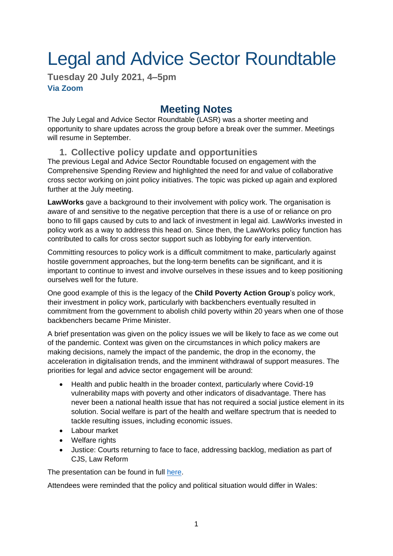# Legal and Advice Sector Roundtable

**Tuesday 20 July 2021, 4–5pm Via Zoom**

# **Meeting Notes**

The July Legal and Advice Sector Roundtable (LASR) was a shorter meeting and opportunity to share updates across the group before a break over the summer. Meetings will resume in September.

## **1. Collective policy update and opportunities**

The previous Legal and Advice Sector Roundtable focused on engagement with the Comprehensive Spending Review and highlighted the need for and value of collaborative cross sector working on joint policy initiatives. The topic was picked up again and explored further at the July meeting.

**LawWorks** gave a background to their involvement with policy work. The organisation is aware of and sensitive to the negative perception that there is a use of or reliance on pro bono to fill gaps caused by cuts to and lack of investment in legal aid. LawWorks invested in policy work as a way to address this head on. Since then, the LawWorks policy function has contributed to calls for cross sector support such as lobbying for early intervention.

Committing resources to policy work is a difficult commitment to make, particularly against hostile government approaches, but the long-term benefits can be significant, and it is important to continue to invest and involve ourselves in these issues and to keep positioning ourselves well for the future.

One good example of this is the legacy of the **Child Poverty Action Group**'s policy work, their investment in policy work, particularly with backbenchers eventually resulted in commitment from the government to abolish child poverty within 20 years when one of those backbenchers became Prime Minister.

A brief presentation was given on the policy issues we will be likely to face as we come out of the pandemic. Context was given on the circumstances in which policy makers are making decisions, namely the impact of the pandemic, the drop in the economy, the acceleration in digitalisation trends, and the imminent withdrawal of support measures. The priorities for legal and advice sector engagement will be around:

- Health and public health in the broader context, particularly where Covid-19 vulnerability maps with poverty and other indicators of disadvantage. There has never been a national health issue that has not required a social justice element in its solution. Social welfare is part of the health and welfare spectrum that is needed to tackle resulting issues, including economic issues.
- Labour market
- Welfare rights
- Justice: Courts returning to face to face, addressing backlog, mediation as part of CJS, Law Reform

The presentation can be found in full [here.](https://drive.google.com/file/d/19OfomovhoUmiACHYqnsvqUiW6Zhud0Bt/view?usp=sharing)

Attendees were reminded that the policy and political situation would differ in Wales: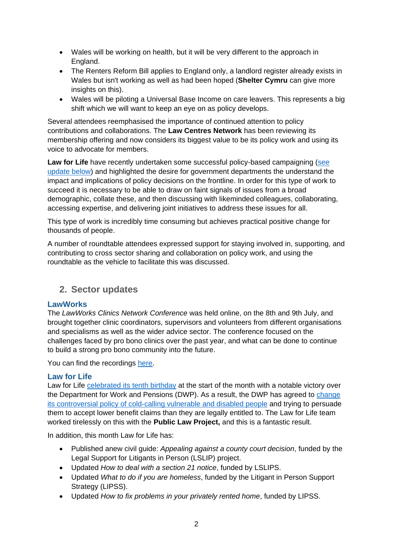- Wales will be working on health, but it will be very different to the approach in England.
- The Renters Reform Bill applies to England only, a landlord register already exists in Wales but isn't working as well as had been hoped (**Shelter Cymru** can give more insights on this).
- Wales will be piloting a Universal Base Income on care leavers. This represents a big shift which we will want to keep an eye on as policy develops.

Several attendees reemphasised the importance of continued attention to policy contributions and collaborations. The **Law Centres Network** has been reviewing its membership offering and now considers its biggest value to be its policy work and using its voice to advocate for members.

Law for Life have recently undertaken some successful policy-based campaigning (see [update below\)](#page-1-0) and highlighted the desire for government departments the understand the impact and implications of policy decisions on the frontline. In order for this type of work to succeed it is necessary to be able to draw on faint signals of issues from a broad demographic, collate these, and then discussing with likeminded colleagues, collaborating, accessing expertise, and delivering joint initiatives to address these issues for all.

This type of work is incredibly time consuming but achieves practical positive change for thousands of people.

A number of roundtable attendees expressed support for staying involved in, supporting, and contributing to cross sector sharing and collaboration on policy work, and using the roundtable as the vehicle to facilitate this was discussed.

# **2. Sector updates**

#### **LawWorks**

The *LawWorks Clinics Network Conference* was held online, on the 8th and 9th July, and brought together clinic coordinators, supervisors and volunteers from different organisations and specialisms as well as the wider advice sector. The conference focused on the challenges faced by pro bono clinics over the past year, and what can be done to continue to build a strong pro bono community into the future.

You can find the recordings [here.](https://www.lawworks.org.uk/solicitors-and-volunteers/resources/legal-pro-bono-facing-future)

#### <span id="page-1-0"></span>**Law for Life**

Law for Life [celebrated its](https://www.linkedin.com/pulse/law-life-ten-years-old-today-amanda-finlay/) tenth birthday at the start of the month with a notable victory over the Department for Work and Pensions (DWP). As a result, the DWP has agreed to [change](https://www.theguardian.com/society/2021/jul/14/dwp-policy-of-cold-calling-disabled-people-over-benefit-claims-to-end)  [its controversial policy of cold-calling vulnerable and disabled people](https://www.theguardian.com/society/2021/jul/14/dwp-policy-of-cold-calling-disabled-people-over-benefit-claims-to-end) and trying to persuade them to accept lower benefit claims than they are legally entitled to. The Law for Life team worked tirelessly on this with the **Public Law Project,** and this is a fantastic result.

In addition, this month Law for Life has:

- Published anew civil guide: *Appealing against a county court decision*, funded by the Legal Support for Litigants in Person (LSLIP) project.
- Updated *How to deal with a section 21 notice*, funded by LSLIPS.
- Updated *What to do if you are homeless*, funded by the Litigant in Person Support Strategy (LIPSS).
- Updated *How to fix problems in your privately rented home*, funded by LIPSS.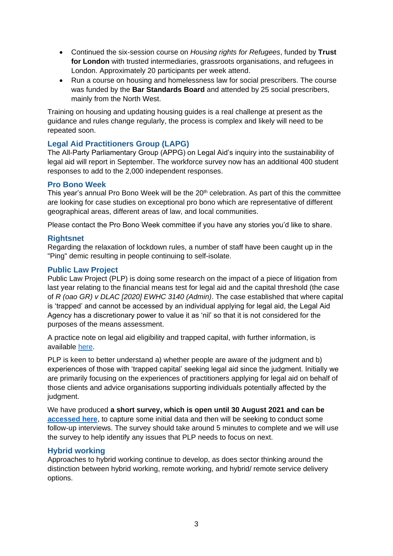- Continued the six-session course on *Housing rights for Refugees*, funded by **Trust for London** with trusted intermediaries, grassroots organisations, and refugees in London. Approximately 20 participants per week attend.
- Run a course on housing and homelessness law for social prescribers. The course was funded by the **Bar Standards Board** and attended by 25 social prescribers, mainly from the North West.

Training on housing and updating housing guides is a real challenge at present as the guidance and rules change regularly, the process is complex and likely will need to be repeated soon.

#### **Legal Aid Practitioners Group (LAPG)**

The All-Party Parliamentary Group (APPG) on Legal Aid's inquiry into the sustainability of legal aid will report in September. The workforce survey now has an additional 400 student responses to add to the 2,000 independent responses.

#### **Pro Bono Week**

This year's annual Pro Bono Week will be the 20<sup>th</sup> celebration. As part of this the committee are looking for case studies on exceptional pro bono which are representative of different geographical areas, different areas of law, and local communities.

Please contact the Pro Bono Week committee if you have any stories you'd like to share.

#### **Rightsnet**

Regarding the relaxation of lockdown rules, a number of staff have been caught up in the "Ping" demic resulting in people continuing to self-isolate.

#### **Public Law Project**

Public Law Project (PLP) is doing some research on the impact of a piece of litigation from last year relating to the financial means test for legal aid and the capital threshold (the case of *R (oao GR) v DLAC [2020] EWHC 3140 (Admin)*. The case established that where capital is 'trapped' and cannot be accessed by an individual applying for legal aid, the Legal Aid Agency has a discretionary power to value it as 'nil' so that it is not considered for the purposes of the means assessment.

A practice note on legal aid eligibility and trapped capital, with further information, is available [here.](https://publiclawproject.org.uk/uncategorized/new-resource-for-legal-aid-practitioners-eligibility-and-trapped-capital/)

PLP is keen to better understand a) whether people are aware of the judgment and b) experiences of those with 'trapped capital' seeking legal aid since the judgment. Initially we are primarily focusing on the experiences of practitioners applying for legal aid on behalf of those clients and advice organisations supporting individuals potentially affected by the judgment.

We have produced **a short survey, which is open until 30 August 2021 and can be [accessed here](https://forms.office.com/Pages/ResponsePage.aspx?id=ihUSlv57zUOu3GYdo2Ihc_hpej9JM8tLoE5JR4-VAoVUNjBPUURYM1YzVDY2QVRXVVk0OEhMVDRNMy4u)**, to capture some initial data and then will be seeking to conduct some follow-up interviews. The survey should take around 5 minutes to complete and we will use the survey to help identify any issues that PLP needs to focus on next.

#### **Hybrid working**

Approaches to hybrid working continue to develop, as does sector thinking around the distinction between hybrid working, remote working, and hybrid/ remote service delivery options.